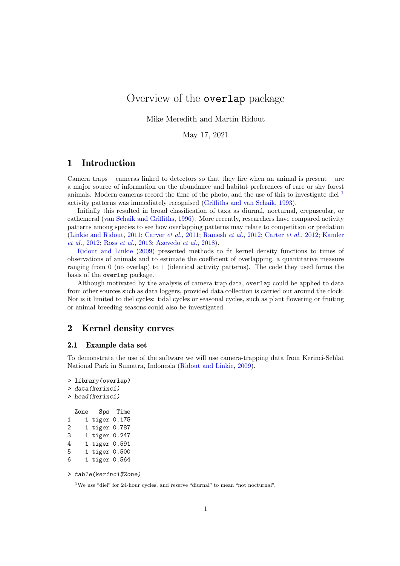# Overview of the overlap package

Mike Meredith and Martin Ridout

May 17, 2021

## 1 Introduction

Camera traps – cameras linked to detectors so that they fire when an animal is present – are a major source of information on the abundance and habitat preferences of rare or shy forest animals. Modern cameras record the time of the photo, and the use of this to investigate diel  $<sup>1</sup>$  $<sup>1</sup>$  $<sup>1</sup>$ </sup> activity patterns was immediately recognised [\(Griffiths and van Schaik,](#page-7-0) [1993\)](#page-7-0).

Initially this resulted in broad classification of taxa as diurnal, nocturnal, crepuscular, or cathemeral [\(van Schaik and Griffiths,](#page-8-0) [1996\)](#page-8-0). More recently, researchers have compared activity patterns among species to see how overlapping patterns may relate to competition or predation [\(Linkie and Ridout,](#page-7-1) [2011;](#page-7-1) [Carver](#page-7-2) et al., [2011;](#page-7-2) [Ramesh](#page-7-3) et al., [2012;](#page-7-3) [Carter](#page-7-4) et al., [2012;](#page-7-4) [Kamler](#page-7-5) [et al.](#page-7-5), [2012;](#page-7-5) Ross [et al.](#page-7-6), [2013;](#page-7-6) [Azevedo](#page-7-7) et al., [2018\)](#page-7-7).

[Ridout and Linkie](#page-7-8) [\(2009\)](#page-7-8) presented methods to fit kernel density functions to times of observations of animals and to estimate the coefficient of overlapping, a quantitative measure ranging from 0 (no overlap) to 1 (identical activity patterns). The code they used forms the basis of the overlap package.

Although motivated by the analysis of camera trap data, overlap could be applied to data from other sources such as data loggers, provided data collection is carried out around the clock. Nor is it limited to diel cycles: tidal cycles or seasonal cycles, such as plant flowering or fruiting or animal breeding seasons could also be investigated.

## 2 Kernel density curves

## 2.1 Example data set

To demonstrate the use of the software we will use camera-trapping data from Kerinci-Seblat National Park in Sumatra, Indonesia [\(Ridout and Linkie,](#page-7-8) [2009\)](#page-7-8).

```
> library(overlap)
> data(kerinci)
> head(kerinci)
 Zone Sps Time
1 1 tiger 0.175
2 1 tiger 0.787
3 1 tiger 0.247
4 1 tiger 0.591
5 1 tiger 0.500
6 1 tiger 0.564
```
<sup>&</sup>gt; table(kerinci\$Zone)

<span id="page-0-0"></span><sup>1</sup>We use "diel" for 24-hour cycles, and reserve "diurnal" to mean "not nocturnal".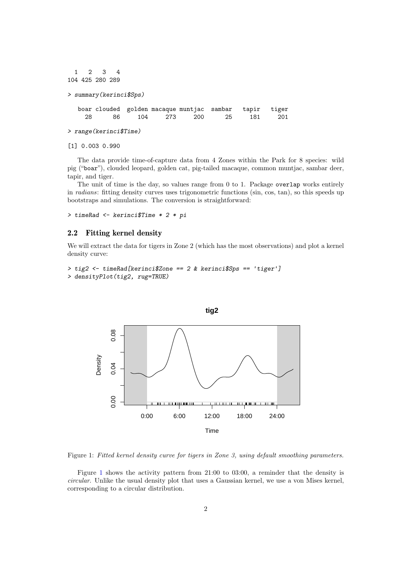```
1 2 3 4
104 425 280 289
> summary(kerinci$Sps)
  boar clouded golden macaque muntjac sambar tapir tiger
    28 86 104 273 200 25 181 201
> range(kerinci$Time)
```
[1] 0.003 0.990

The data provide time-of-capture data from 4 Zones within the Park for 8 species: wild pig ("boar"), clouded leopard, golden cat, pig-tailed macaque, common muntjac, sambar deer, tapir, and tiger.

The unit of time is the day, so values range from 0 to 1. Package overlap works entirely in radians: fitting density curves uses trigonometric functions (sin, cos, tan), so this speeds up bootstraps and simulations. The conversion is straightforward:

> timeRad <- kerinci\$Time \* 2 \* pi

## 2.2 Fitting kernel density

We will extract the data for tigers in Zone 2 (which has the most observations) and plot a kernel density curve:

```
> tig2 <- timeRad[kerinci$Zone == 2 & kerinci$Sps == 'tiger']
> densityPlot(tig2, rug=TRUE)
```


<span id="page-1-0"></span>Figure 1: Fitted kernel density curve for tigers in Zone 3, using default smoothing parameters.

Figure [1](#page-1-0) shows the activity pattern from 21:00 to 03:00, a reminder that the density is circular. Unlike the usual density plot that uses a Gaussian kernel, we use a von Mises kernel, corresponding to a circular distribution.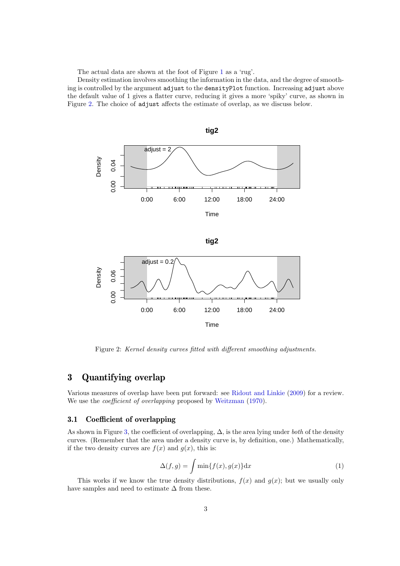The actual data are shown at the foot of Figure [1](#page-1-0) as a 'rug'.

Density estimation involves smoothing the information in the data, and the degree of smoothing is controlled by the argument adjust to the densityPlot function. Increasing adjust above the default value of 1 gives a flatter curve, reducing it gives a more 'spiky' curve, as shown in Figure [2.](#page-2-0) The choice of adjust affects the estimate of overlap, as we discuss below.



Figure 2: Kernel density curves fitted with different smoothing adjustments.

## 3 Quantifying overlap

Various measures of overlap have been put forward: see [Ridout and Linkie](#page-7-8) [\(2009\)](#page-7-8) for a review. We use the *coefficient of overlapping* proposed by [Weitzman](#page-8-1)  $(1970)$ .

## 3.1 Coefficient of overlapping

As shown in Figure [3,](#page-4-0) the coefficient of overlapping,  $\Delta$ , is the area lying under both of the density curves. (Remember that the area under a density curve is, by definition, one.) Mathematically, if the two density curves are  $f(x)$  and  $g(x)$ , this is:

<span id="page-2-1"></span><span id="page-2-0"></span>
$$
\Delta(f,g) = \int \min\{f(x), g(x)\} dx
$$
 (1)

This works if we know the true density distributions,  $f(x)$  and  $g(x)$ ; but we usually only have samples and need to estimate  $\Delta$  from these.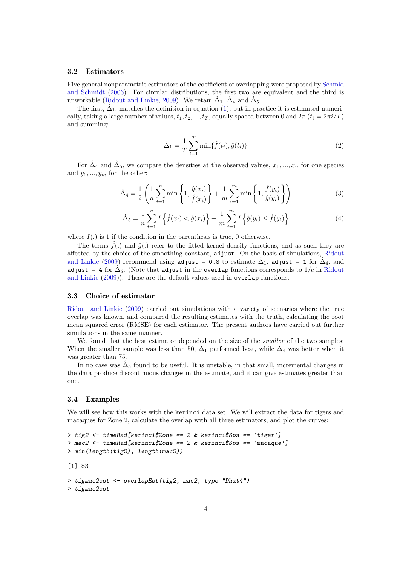### 3.2 Estimators

Five general nonparametric estimators of the coefficient of overlapping were proposed by [Schmid](#page-7-9) [and Schmidt](#page-7-9) [\(2006\)](#page-7-9). For circular distributions, the first two are equivalent and the third is unworkable [\(Ridout and Linkie,](#page-7-8) [2009\)](#page-7-8). We retain  $\hat{\Delta}_1$ ,  $\hat{\Delta}_4$  and  $\hat{\Delta}_5$ .

The first,  $\hat{\Delta}_1$ , matches the definition in equation [\(1\)](#page-2-1), but in practice it is estimated numerically, taking a large number of values,  $t_1, t_2, ..., t_T$ , equally spaced between 0 and  $2\pi$   $(t_i = 2\pi i/T)$ and summing:

$$
\hat{\Delta}_1 = \frac{1}{T} \sum_{i=1}^T \min{\{\hat{f}(t_i), \hat{g}(t_i)\}}
$$
\n(2)

For  $\hat{\Delta}_4$  and  $\hat{\Delta}_5$ , we compare the densities at the observed values,  $x_1, ..., x_n$  for one species and  $y_1, ..., y_m$  for the other:

$$
\hat{\Delta}_4 = \frac{1}{2} \left( \frac{1}{n} \sum_{i=1}^n \min \left\{ 1, \frac{\hat{g}(x_i)}{\hat{f}(x_i)} \right\} + \frac{1}{m} \sum_{i=1}^m \min \left\{ 1, \frac{\hat{f}(y_i)}{\hat{g}(y_i)} \right\} \right)
$$
(3)

$$
\hat{\Delta}_5 = \frac{1}{n} \sum_{i=1}^n I \left\{ \hat{f}(x_i) < \hat{g}(x_i) \right\} + \frac{1}{m} \sum_{i=1}^m I \left\{ \hat{g}(y_i) \leq \hat{f}(y_i) \right\} \tag{4}
$$

where  $I(.)$  is 1 if the condition in the parenthesis is true, 0 otherwise.

The terms  $\hat{f}(.)$  and  $\hat{g}(.)$  refer to the fitted kernel density functions, and as such they are affected by the choice of the smoothing constant, adjust. On the basis of simulations, [Ridout](#page-7-8) [and Linkie](#page-7-8) [\(2009\)](#page-7-8) recommend using adjust = 0.8 to estimate  $\hat{\Delta}_1$ , adjust = 1 for  $\hat{\Delta}_4$ , and adjust = 4 for  $\hat{\Delta}_5$ . (Note that adjust in the overlap functions corresponds to  $1/c$  in [Ridout](#page-7-8) [and Linkie](#page-7-8) [\(2009\)](#page-7-8)). These are the default values used in overlap functions.

#### 3.3 Choice of estimator

[Ridout and Linkie](#page-7-8) [\(2009\)](#page-7-8) carried out simulations with a variety of scenarios where the true overlap was known, and compared the resulting estimates with the truth, calculating the root mean squared error (RMSE) for each estimator. The present authors have carried out further simulations in the same manner.

We found that the best estimator depended on the size of the *smaller* of the two samples: When the smaller sample was less than 50,  $\hat{\Delta}_1$  performed best, while  $\hat{\Delta}_4$  was better when it was greater than 75.

In no case was  $\hat{\Delta}_5$  found to be useful. It is unstable, in that small, incremental changes in the data produce discontinuous changes in the estimate, and it can give estimates greater than one.

## 3.4 Examples

We will see how this works with the kerinci data set. We will extract the data for tigers and macaques for Zone 2, calculate the overlap with all three estimators, and plot the curves:

```
> tig2 <- timeRad[kerinci$Zone == 2 & kerinci$Sps == 'tiger']
> mac2 <- timeRad[kerinci$Zone == 2 & kerinci$Sps == 'macaque']
> min(length(tig2), length(mac2))
[1] 83
> tigmac2est <- overlapEst(tig2, mac2, type="Dhat4")
> tigmac2est
```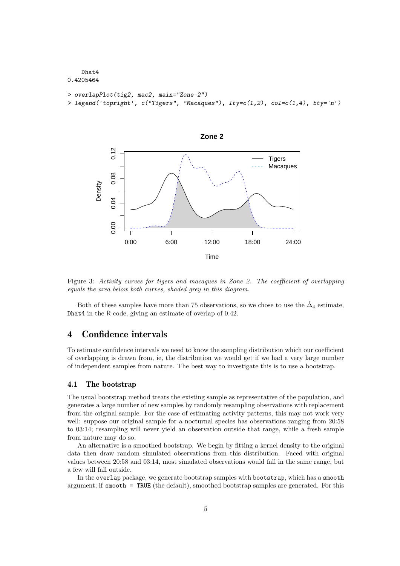```
Dhat4
0.4205464
```

```
> overlapPlot(tig2, mac2, main="Zone 2")
```

```
> legend('topright', c("Tigers", "Macaques"), lty=c(1,2), col=c(1,4), bty='n')
```


<span id="page-4-0"></span>Figure 3: Activity curves for tigers and macaques in Zone 2. The coefficient of overlapping equals the area below both curves, shaded grey in this diagram.

Both of these samples have more than 75 observations, so we chose to use the  $\hat{\Delta}_4$  estimate, Dhat4 in the R code, giving an estimate of overlap of 0.42.

## 4 Confidence intervals

To estimate confidence intervals we need to know the sampling distribution which our coefficient of overlapping is drawn from, ie, the distribution we would get if we had a very large number of independent samples from nature. The best way to investigate this is to use a bootstrap.

#### <span id="page-4-1"></span>4.1 The bootstrap

The usual bootstrap method treats the existing sample as representative of the population, and generates a large number of new samples by randomly resampling observations with replacement from the original sample. For the case of estimating activity patterns, this may not work very well: suppose our original sample for a nocturnal species has observations ranging from 20:58 to 03:14; resampling will never yield an observation outside that range, while a fresh sample from nature may do so.

An alternative is a smoothed bootstrap. We begin by fitting a kernel density to the original data then draw random simulated observations from this distribution. Faced with original values between 20:58 and 03:14, most simulated observations would fall in the same range, but a few will fall outside.

In the overlap package, we generate bootstrap samples with bootstrap, which has a smooth argument; if smooth = TRUE (the default), smoothed bootstrap samples are generated. For this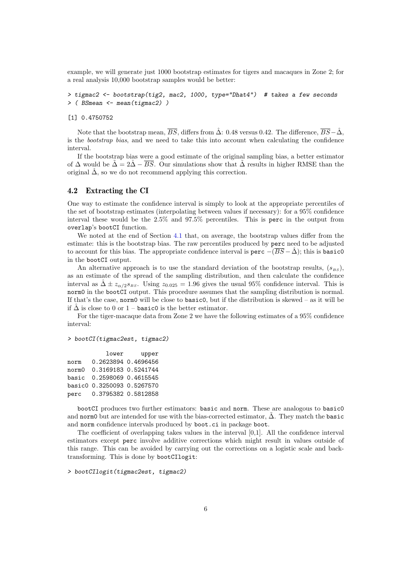example, we will generate just 1000 bootstrap estimates for tigers and macaques in Zone 2; for a real analysis 10,000 bootstrap samples would be better:

```
> tigmac2 <- bootstrap(tig2, mac2, 1000, type="Dhat4") # takes a few seconds
> ( BSmean <- mean(tigmac2) )
```
#### [1] 0.4750752

Note that the bootstrap mean,  $\overline{BS}$ , differs from  $\hat{\Delta}$ : 0.48 versus 0.42. The difference,  $\overline{BS}-\hat{\Delta}$ , is the bootstrap bias, and we need to take this into account when calculating the confidence interval.

If the bootstrap bias were a good estimate of the original sampling bias, a better estimator of  $\Delta$  would be  $\tilde{\Delta} = 2\tilde{\Delta} - \overline{BS}$ . Our simulations show that  $\tilde{\Delta}$  results in higher RMSE than the original  $\hat{\Delta}$ , so we do not recommend applying this correction.

### 4.2 Extracting the CI

One way to estimate the confidence interval is simply to look at the appropriate percentiles of the set of bootstrap estimates (interpolating between values if necessary): for a 95% confidence interval these would be the 2.5% and 97.5% percentiles. This is perc in the output from overlap's bootCI function.

We noted at the end of Section [4.1](#page-4-1) that, on average, the bootstrap values differ from the estimate: this is the bootstrap bias. The raw percentiles produced by perc need to be adjusted to account for this bias. The appropriate confidence interval is perc  $-(\overline{BS} - \hat{\Delta})$ ; this is basic0 in the bootCI output.

An alternative approach is to use the standard deviation of the bootstrap results,  $(s_{BS})$ , as an estimate of the spread of the sampling distribution, and then calculate the confidence interval as  $\Delta \pm z_{\alpha/2}s_{BS}$ . Using  $z_{0.025} = 1.96$  gives the usual 95% confidence interval. This is norm0 in the bootCI output. This procedure assumes that the sampling distribution is normal. If that's the case, normal will be close to basic o, but if the distribution is skewed – as it will be if  $\hat{\Delta}$  is close to 0 or 1 – basic0 is the better estimator.

For the tiger-macaque data from Zone 2 we have the following estimates of a 95% confidence interval:

#### > bootCI(tigmac2est, tigmac2)

|       | lower                      | upper               |
|-------|----------------------------|---------------------|
| norm  |                            | 0.2623894 0.4696456 |
| norm0 | 0.3169183 0.5241744        |                     |
|       | basic 0.2598069 0.4615545  |                     |
|       | basic0 0.3250093 0.5267570 |                     |
| perc  | 0.3795382 0.5812858        |                     |

bootCI produces two further estimators: basic and norm. These are analogous to basic0 and norm0 but are intended for use with the bias-corrected estimator,  $\Delta$ . They match the basic and norm confidence intervals produced by boot.ci in package boot.

The coefficient of overlapping takes values in the interval [0,1]. All the confidence interval estimators except perc involve additive corrections which might result in values outside of this range. This can be avoided by carrying out the corrections on a logistic scale and backtransforming. This is done by bootCIlogit:

```
> bootCIlogit(tigmac2est, tigmac2)
```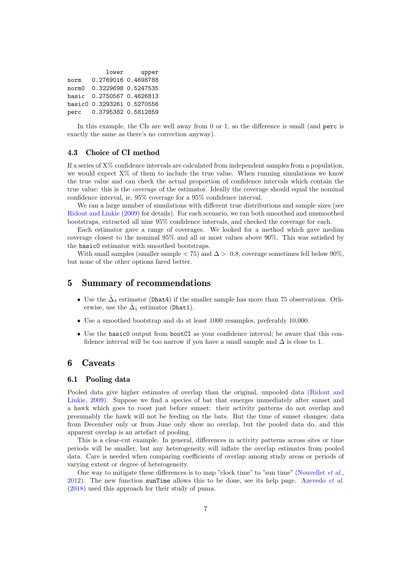|       | lower                      | upper               |
|-------|----------------------------|---------------------|
| norm  |                            | 0.2769016 0.4698788 |
| norm0 |                            | 0.3229698 0.5247535 |
|       | basic 0.2750567 0.4626813  |                     |
|       | basic0 0.3293261 0.5270556 |                     |
| perc  |                            | 0.3795382 0.5812859 |

In this example, the CIs are well away from 0 or 1, so the difference is small (and perc is exactly the same as there's no correction anyway).

### 4.3 Choice of CI method

If a series of X% confidence intervals are calculated from independent samples from a population, we would expect X% of them to include the true value. When running simulations we know the true value and can check the actual proportion of confidence intervals which contain the true value: this is the coverage of the estimator. Ideally the coverage should equal the nominal confidence interval, ie, 95% coverage for a 95% confidence interval.

We ran a large number of simulations with different true distributions and sample sizes (see [Ridout and Linkie](#page-7-8) [\(2009\)](#page-7-8) for details). For each scenario, we ran both smoothed and unsmoothed bootstraps, extracted all nine 95% confidence intervals, and checked the coverage for each.

Each estimator gave a range of coverages. We looked for a method which gave median coverage closest to the nominal 95% and all or most values above 90%. This was satisfied by the basic0 estimator with smoothed bootstraps.

With small samples (smaller sample  $\langle 75 \rangle$  and  $\Delta > 0.8$ , coverage sometimes fell below 90%, but none of the other options fared better.

## 5 Summary of recommendations

- Use the  $\hat{\Delta}_4$  estimator (Dhat4) if the smaller sample has more than 75 observations. Otherwise, use the  $\hat{\Delta}_1$  estimator (Dhat1).
- Use a smoothed bootstrap and do at least 1000 resamples, preferably 10,000.
- Use the basic0 output from bootCI as your confidence interval; be aware that this confidence interval will be too narrow if you have a small sample and  $\Delta$  is close to 1.

## 6 Caveats

### 6.1 Pooling data

Pooled data give higher estimates of overlap than the original, unpooled data [\(Ridout and](#page-7-8) [Linkie,](#page-7-8) [2009\)](#page-7-8). Suppose we find a species of bat that emerges immediately after sunset and a hawk which goes to roost just before sunset: their activity patterns do not overlap and presumably the hawk will not be feeding on the bats. But the time of sunset changes; data from December only or from June only show no overlap, but the pooled data do, and this apparent overlap is an artefact of pooling.

This is a clear-cut example. In general, differences in activity patterns across sites or time periods will be smaller, but any heterogeneity will inflate the overlap estimates from pooled data. Care is needed when comparing coefficients of overlap among study areas or periods of varying extent or degree of heterogeneity.

One way to mitigate these differences is to map "clock time" to "sun time" [\(Nouvellet](#page-7-10) *et al.*,  $2012$ ). The new function sunTime allows this to be done, see its help page. [Azevedo](#page-7-7) *et al.* [\(2018\)](#page-7-7) used this approach for their study of puma.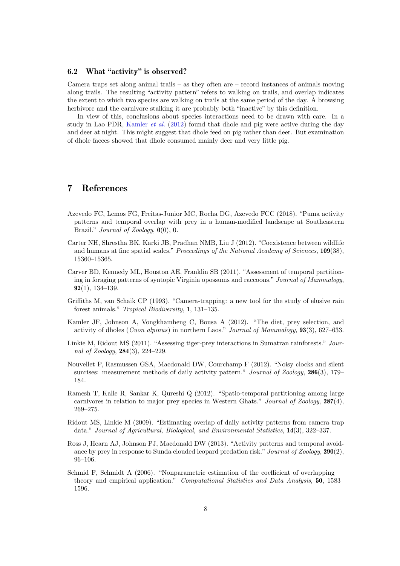## 6.2 What "activity" is observed?

Camera traps set along animal trails – as they often are – record instances of animals moving along trails. The resulting "activity pattern" refers to walking on trails, and overlap indicates the extent to which two species are walking on trails at the same period of the day. A browsing herbivore and the carnivore stalking it are probably both "inactive" by this definition.

In view of this, conclusions about species interactions need to be drawn with care. In a study in Lao PDR, [Kamler](#page-7-5) et al. [\(2012\)](#page-7-5) found that dhole and pig were active during the day and deer at night. This might suggest that dhole feed on pig rather than deer. But examination of dhole faeces showed that dhole consumed mainly deer and very little pig.

## 7 References

- <span id="page-7-7"></span>Azevedo FC, Lemos FG, Freitas-Junior MC, Rocha DG, Azevedo FCC (2018). "Puma activity patterns and temporal overlap with prey in a human-modified landscape at Southeastern Brazil." Journal of Zoology,  $\mathbf{0}(0), 0$ .
- <span id="page-7-4"></span>Carter NH, Shrestha BK, Karki JB, Pradhan NMB, Liu J (2012). "Coexistence between wildlife and humans at fine spatial scales." Proceedings of the National Academy of Sciences, 109(38), 15360–15365.
- <span id="page-7-2"></span>Carver BD, Kennedy ML, Houston AE, Franklin SB (2011). "Assessment of temporal partitioning in foraging patterns of syntopic Virginia opossums and raccoons." Journal of Mammalogy, 92(1), 134–139.
- <span id="page-7-0"></span>Griffiths M, van Schaik CP (1993). "Camera-trapping: a new tool for the study of elusive rain forest animals." Tropical Biodiversity, 1, 131–135.
- <span id="page-7-5"></span>Kamler JF, Johnson A, Vongkhamheng C, Bousa A (2012). "The diet, prey selection, and activity of dholes (Cuon alpinus) in northern Laos." Journal of Mammalogy, 93(3), 627–633.
- <span id="page-7-1"></span>Linkie M, Ridout MS (2011). "Assessing tiger-prey interactions in Sumatran rainforests." Journal of Zoology, 284(3), 224–229.
- <span id="page-7-10"></span>Nouvellet P, Rasmussen GSA, Macdonald DW, Courchamp F (2012). "Noisy clocks and silent sunrises: measurement methods of daily activity pattern." Journal of Zoology, 286(3), 179– 184.
- <span id="page-7-3"></span>Ramesh T, Kalle R, Sankar K, Qureshi Q (2012). "Spatio-temporal partitioning among large carnivores in relation to major prey species in Western Ghats." Journal of Zoology, 287(4), 269–275.
- <span id="page-7-8"></span>Ridout MS, Linkie M (2009). "Estimating overlap of daily activity patterns from camera trap data." Journal of Agricultural, Biological, and Environmental Statistics, 14(3), 322–337.
- <span id="page-7-6"></span>Ross J, Hearn AJ, Johnson PJ, Macdonald DW (2013). "Activity patterns and temporal avoidance by prey in response to Sunda clouded leopard predation risk." Journal of Zoology, 290(2), 96–106.
- <span id="page-7-9"></span>Schmid F, Schmidt A (2006). "Nonparametric estimation of the coefficient of overlapping theory and empirical application." Computational Statistics and Data Analysis, 50, 1583– 1596.